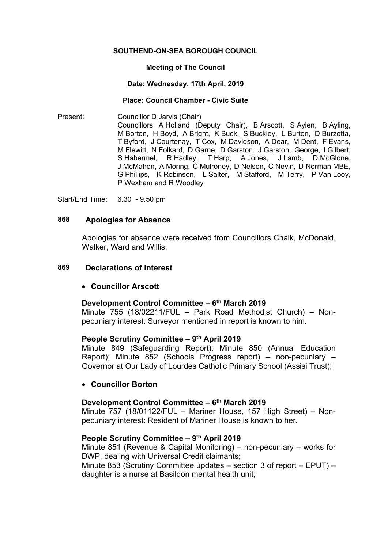#### **SOUTHEND-ON-SEA BOROUGH COUNCIL**

#### **Meeting of The Council**

#### **Date: Wednesday, 17th April, 2019**

#### **Place: Council Chamber - Civic Suite**

Present: Councillor D Jarvis (Chair) Councillors A Holland (Deputy Chair), B Arscott, S Aylen, B Ayling, M Borton, H Boyd, A Bright, K Buck, S Buckley, L Burton, D Burzotta, T Byford, J Courtenay, T Cox, M Davidson, A Dear, M Dent, F Evans, M Flewitt, N Folkard, D Garne, D Garston, J Garston, George, I Gilbert, S Habermel, R Hadley, T Harp, A Jones, J Lamb, D McGlone, J McMahon, A Moring, C Mulroney, D Nelson, C Nevin, D Norman MBE, G Phillips, K Robinson, L Salter, M Stafford, M Terry, P Van Looy, P Wexham and R Woodley

Start/End Time: 6.30 - 9.50 pm

#### **868 Apologies for Absence**

Apologies for absence were received from Councillors Chalk, McDonald, Walker, Ward and Willis.

#### **869 Declarations of Interest**

#### **Councillor Arscott**

## **Development Control Committee – 6 th March 2019**

Minute 755 (18/02211/FUL – Park Road Methodist Church) – Nonpecuniary interest: Surveyor mentioned in report is known to him.

## **People Scrutiny Committee – 9 th April 2019**

Minute 849 (Safeguarding Report); Minute 850 (Annual Education Report); Minute 852 (Schools Progress report) – non-pecuniary – Governor at Our Lady of Lourdes Catholic Primary School (Assisi Trust);

#### **Councillor Borton**

### **Development Control Committee – 6 th March 2019**

Minute 757 (18/01122/FUL – Mariner House, 157 High Street) – Nonpecuniary interest: Resident of Mariner House is known to her.

#### **People Scrutiny Committee – 9 th April 2019**

Minute 851 (Revenue & Capital Monitoring) – non-pecuniary – works for DWP, dealing with Universal Credit claimants;

Minute 853 (Scrutiny Committee updates – section 3 of report – EPUT) – daughter is a nurse at Basildon mental health unit;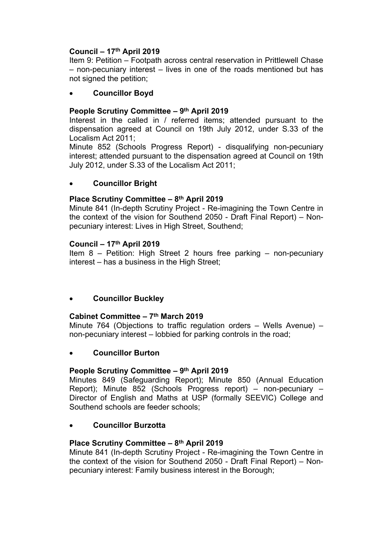# **Council – 17th April 2019**

Item 9: Petition – Footpath across central reservation in Prittlewell Chase – non-pecuniary interest – lives in one of the roads mentioned but has not signed the petition;

## **Councillor Boyd**

# **People Scrutiny Committee – 9 th April 2019**

Interest in the called in / referred items; attended pursuant to the dispensation agreed at Council on 19th July 2012, under S.33 of the Localism Act 2011;

Minute 852 (Schools Progress Report) - disqualifying non-pecuniary interest; attended pursuant to the dispensation agreed at Council on 19th July 2012, under S.33 of the Localism Act 2011;

## **Councillor Bright**

## **Place Scrutiny Committee – 8 th April 2019**

Minute 841 (In-depth Scrutiny Project - Re-imagining the Town Centre in the context of the vision for Southend 2050 - Draft Final Report) – Nonpecuniary interest: Lives in High Street, Southend;

### **Council – 17th April 2019**

Item 8 – Petition: High Street 2 hours free parking – non-pecuniary interest – has a business in the High Street;

## **Councillor Buckley**

## **Cabinet Committee – 7 th March 2019**

Minute 764 (Objections to traffic regulation orders – Wells Avenue) – non-pecuniary interest – lobbied for parking controls in the road;

## **Councillor Burton**

#### **People Scrutiny Committee – 9 th April 2019**

Minutes 849 (Safeguarding Report); Minute 850 (Annual Education Report); Minute 852 (Schools Progress report) – non-pecuniary – Director of English and Maths at USP (formally SEEVIC) College and Southend schools are feeder schools;

## **Councillor Burzotta**

### **Place Scrutiny Committee – 8 th April 2019**

Minute 841 (In-depth Scrutiny Project - Re-imagining the Town Centre in the context of the vision for Southend 2050 - Draft Final Report) – Nonpecuniary interest: Family business interest in the Borough;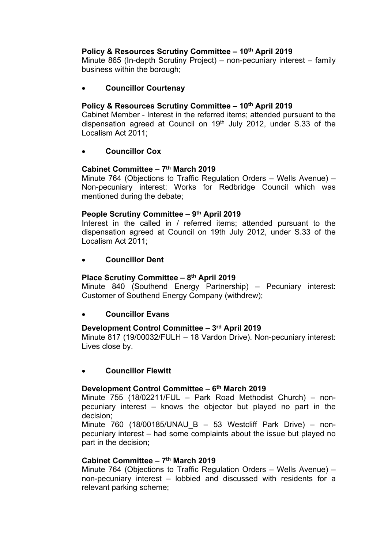# **Policy & Resources Scrutiny Committee – 10th April 2019**

Minute 865 (In-depth Scrutiny Project) – non-pecuniary interest – family business within the borough;

## **Councillor Courtenay**

## **Policy & Resources Scrutiny Committee – 10th April 2019**

Cabinet Member - Interest in the referred items; attended pursuant to the dispensation agreed at Council on 19<sup>th</sup> July 2012, under S.33 of the Localism Act 2011;

## **Councillor Cox**

## **Cabinet Committee – 7 th March 2019**

Minute 764 (Objections to Traffic Regulation Orders – Wells Avenue) – Non-pecuniary interest: Works for Redbridge Council which was mentioned during the debate;

## **People Scrutiny Committee – 9 th April 2019**

Interest in the called in / referred items; attended pursuant to the dispensation agreed at Council on 19th July 2012, under S.33 of the Localism Act 2011;

## **Councillor Dent**

## **Place Scrutiny Committee – 8 th April 2019**

Minute 840 (Southend Energy Partnership) – Pecuniary interest: Customer of Southend Energy Company (withdrew);

## **Councillor Evans**

## **Development Control Committee – 3 rd April 2019**

Minute 817 (19/00032/FULH – 18 Vardon Drive). Non-pecuniary interest: Lives close by.

## **Councillor Flewitt**

## **Development Control Committee – 6 th March 2019**

Minute 755 (18/02211/FUL – Park Road Methodist Church) – nonpecuniary interest – knows the objector but played no part in the decision;

Minute 760 (18/00185/UNAU B – 53 Westcliff Park Drive) – nonpecuniary interest – had some complaints about the issue but played no part in the decision;

## **Cabinet Committee – 7 th March 2019**

Minute 764 (Objections to Traffic Regulation Orders – Wells Avenue) – non-pecuniary interest – lobbied and discussed with residents for a relevant parking scheme;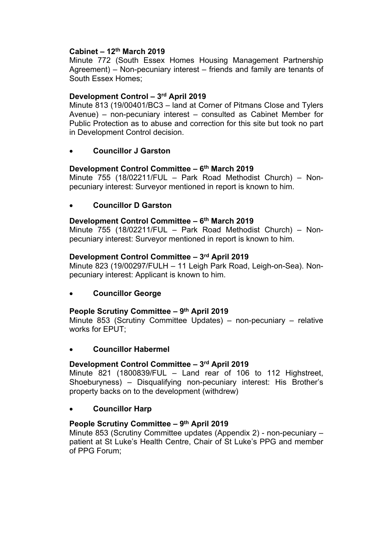## **Cabinet – 12th March 2019**

Minute 772 (South Essex Homes Housing Management Partnership Agreement) – Non-pecuniary interest – friends and family are tenants of South Essex Homes;

## **Development Control – 3 rd April 2019**

Minute 813 (19/00401/BC3 – land at Corner of Pitmans Close and Tylers Avenue) – non-pecuniary interest – consulted as Cabinet Member for Public Protection as to abuse and correction for this site but took no part in Development Control decision.

# **Councillor J Garston**

## **Development Control Committee – 6 th March 2019**

Minute 755 (18/02211/FUL – Park Road Methodist Church) – Nonpecuniary interest: Surveyor mentioned in report is known to him.

## **Councillor D Garston**

## **Development Control Committee – 6 th March 2019**

Minute 755 (18/02211/FUL – Park Road Methodist Church) – Nonpecuniary interest: Surveyor mentioned in report is known to him.

## **Development Control Committee – 3 rd April 2019**

Minute 823 (19/00297/FULH – 11 Leigh Park Road, Leigh-on-Sea). Nonpecuniary interest: Applicant is known to him.

## **Councillor George**

## **People Scrutiny Committee – 9 th April 2019**

Minute 853 (Scrutiny Committee Updates) – non-pecuniary – relative works for EPUT;

## **Councillor Habermel**

## **Development Control Committee – 3 rd April 2019**

Minute 821 (1800839/FUL – Land rear of 106 to 112 Highstreet, Shoeburyness) – Disqualifying non-pecuniary interest: His Brother's property backs on to the development (withdrew)

#### **Councillor Harp**

## **People Scrutiny Committee – 9 th April 2019**

Minute 853 (Scrutiny Committee updates (Appendix 2) - non-pecuniary – patient at St Luke's Health Centre, Chair of St Luke's PPG and member of PPG Forum;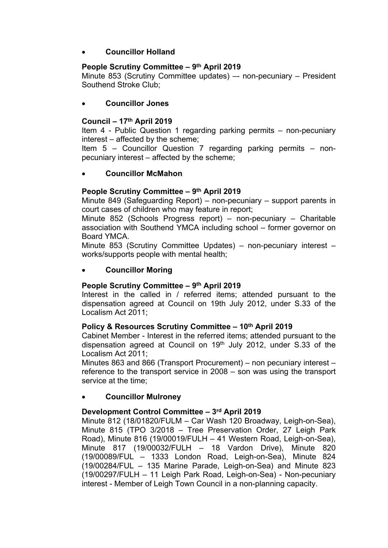## **Councillor Holland**

## **People Scrutiny Committee – 9 th April 2019**

Minute 853 (Scrutiny Committee updates) –- non-pecuniary – President Southend Stroke Club;

## **Councillor Jones**

## **Council – 17th April 2019**

Item 4 - Public Question 1 regarding parking permits – non-pecuniary interest – affected by the scheme;

Item 5 – Councillor Question 7 regarding parking permits – nonpecuniary interest – affected by the scheme;

# **Councillor McMahon**

## **People Scrutiny Committee – 9 th April 2019**

Minute 849 (Safeguarding Report) – non-pecuniary – support parents in court cases of children who may feature in report;

Minute 852 (Schools Progress report) – non-pecuniary – Charitable association with Southend YMCA including school – former governor on Board YMCA.

Minute 853 (Scrutiny Committee Updates) – non-pecuniary interest – works/supports people with mental health;

## **Councillor Moring**

## **People Scrutiny Committee – 9 th April 2019**

Interest in the called in / referred items; attended pursuant to the dispensation agreed at Council on 19th July 2012, under S.33 of the Localism Act 2011;

#### **Policy & Resources Scrutiny Committee – 10th April 2019**

Cabinet Member - Interest in the referred items; attended pursuant to the dispensation agreed at Council on  $19<sup>th</sup>$  July 2012, under S.33 of the Localism Act 2011;

Minutes 863 and 866 (Transport Procurement) – non pecuniary interest – reference to the transport service in 2008 – son was using the transport service at the time;

## **Councillor Mulroney**

## **Development Control Committee – 3 rd April 2019**

Minute 812 (18/01820/FULM – Car Wash 120 Broadway, Leigh-on-Sea), Minute 815 (TPO 3/2018 – Tree Preservation Order, 27 Leigh Park Road), Minute 816 (19/00019/FULH – 41 Western Road, Leigh-on-Sea), Minute 817 (19/00032/FULH – 18 Vardon Drive), Minute 820 (19/00089/FUL – 1333 London Road, Leigh-on-Sea), Minute 824 (19/00284/FUL – 135 Marine Parade, Leigh-on-Sea) and Minute 823 (19/00297/FULH – 11 Leigh Park Road, Leigh-on-Sea) - Non-pecuniary interest - Member of Leigh Town Council in a non-planning capacity.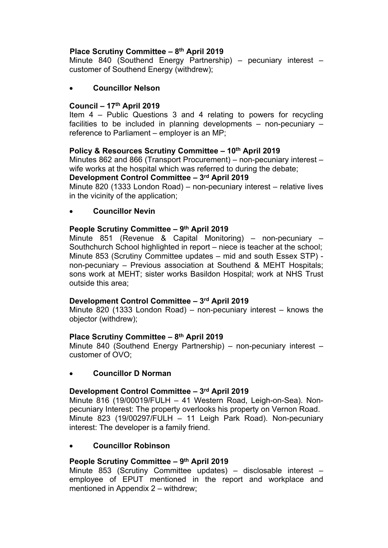# **Place Scrutiny Committee – 8 th April 2019**

Minute 840 (Southend Energy Partnership) – pecuniary interest – customer of Southend Energy (withdrew);

# **Councillor Nelson**

# **Council – 17th April 2019**

Item 4 – Public Questions 3 and 4 relating to powers for recycling facilities to be included in planning developments  $-$  non-pecuniary  $$ reference to Parliament – employer is an MP;

# **Policy & Resources Scrutiny Committee – 10th April 2019**

Minutes 862 and 866 (Transport Procurement) – non-pecuniary interest – wife works at the hospital which was referred to during the debate;

**Development Control Committee – 3 rd April 2019**

Minute 820 (1333 London Road) – non-pecuniary interest – relative lives in the vicinity of the application;

# **Councillor Nevin**

# **People Scrutiny Committee – 9 th April 2019**

Minute 851 (Revenue & Capital Monitoring) – non-pecuniary – Southchurch School highlighted in report – niece is teacher at the school; Minute 853 (Scrutiny Committee updates – mid and south Essex STP) non-pecuniary – Previous association at Southend & MEHT Hospitals; sons work at MEHT; sister works Basildon Hospital; work at NHS Trust outside this area;

# **Development Control Committee – 3 rd April 2019**

Minute 820 (1333 London Road) – non-pecuniary interest – knows the objector (withdrew);

# **Place Scrutiny Committee – 8 th April 2019**

Minute 840 (Southend Energy Partnership) – non-pecuniary interest – customer of OVO;

# **Councillor D Norman**

# **Development Control Committee – 3 rd April 2019**

Minute 816 (19/00019/FULH – 41 Western Road, Leigh-on-Sea). Nonpecuniary Interest: The property overlooks his property on Vernon Road. Minute 823 (19/00297/FULH – 11 Leigh Park Road). Non-pecuniary interest: The developer is a family friend.

# **Councillor Robinson**

# **People Scrutiny Committee – 9 th April 2019**

Minute 853 (Scrutiny Committee updates) – disclosable interest – employee of EPUT mentioned in the report and workplace and mentioned in Appendix 2 – withdrew;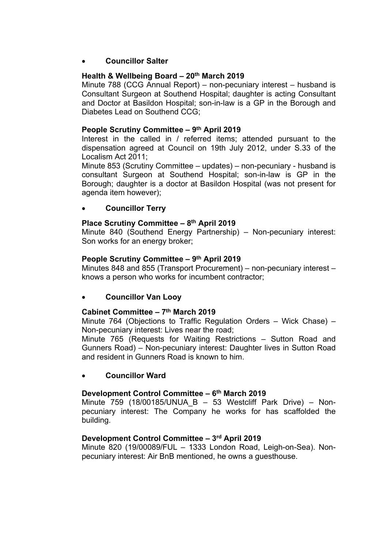# **Councillor Salter**

## **Health & Wellbeing Board – 20th March 2019**

Minute 788 (CCG Annual Report) – non-pecuniary interest – husband is Consultant Surgeon at Southend Hospital; daughter is acting Consultant and Doctor at Basildon Hospital; son-in-law is a GP in the Borough and Diabetes Lead on Southend CCG;

## **People Scrutiny Committee – 9 th April 2019**

Interest in the called in / referred items; attended pursuant to the dispensation agreed at Council on 19th July 2012, under S.33 of the Localism Act 2011;

Minute 853 (Scrutiny Committee – updates) – non-pecuniary - husband is consultant Surgeon at Southend Hospital; son-in-law is GP in the Borough; daughter is a doctor at Basildon Hospital (was not present for agenda item however);

## **Councillor Terry**

### **Place Scrutiny Committee – 8 th April 2019**

Minute 840 (Southend Energy Partnership) – Non-pecuniary interest: Son works for an energy broker;

### **People Scrutiny Committee – 9 th April 2019**

Minutes 848 and 855 (Transport Procurement) – non-pecuniary interest – knows a person who works for incumbent contractor;

## **Councillor Van Looy**

### **Cabinet Committee – 7 th March 2019**

Minute 764 (Objections to Traffic Regulation Orders – Wick Chase) – Non-pecuniary interest: Lives near the road;

Minute 765 (Requests for Waiting Restrictions – Sutton Road and Gunners Road) – Non-pecuniary interest: Daughter lives in Sutton Road and resident in Gunners Road is known to him.

## **Councillor Ward**

#### **Development Control Committee – 6 th March 2019**

Minute  $759$  (18/00185/UNUA B – 53 Westcliff Park Drive) – Nonpecuniary interest: The Company he works for has scaffolded the building.

## **Development Control Committee – 3 rd April 2019**

Minute 820 (19/00089/FUL – 1333 London Road, Leigh-on-Sea). Nonpecuniary interest: Air BnB mentioned, he owns a guesthouse.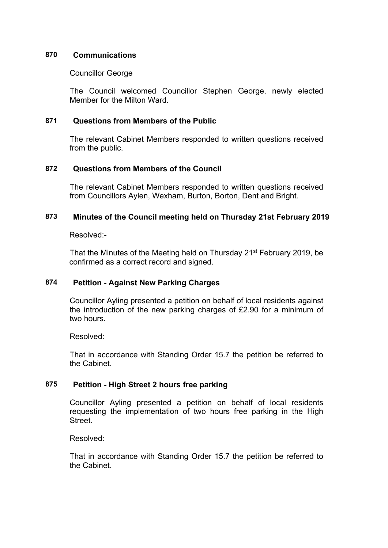## **870 Communications**

### Councillor George

The Council welcomed Councillor Stephen George, newly elected Member for the Milton Ward.

# **871 Questions from Members of the Public**

The relevant Cabinet Members responded to written questions received from the public.

## **872 Questions from Members of the Council**

The relevant Cabinet Members responded to written questions received from Councillors Aylen, Wexham, Burton, Borton, Dent and Bright.

### **873 Minutes of the Council meeting held on Thursday 21st February 2019**

Resolved:-

That the Minutes of the Meeting held on Thursday 21st February 2019, be confirmed as a correct record and signed.

## **874 Petition - Against New Parking Charges**

Councillor Ayling presented a petition on behalf of local residents against the introduction of the new parking charges of £2.90 for a minimum of two hours.

Resolved:

That in accordance with Standing Order 15.7 the petition be referred to the Cabinet.

## **875 Petition - High Street 2 hours free parking**

Councillor Ayling presented a petition on behalf of local residents requesting the implementation of two hours free parking in the High **Street** 

Resolved:

That in accordance with Standing Order 15.7 the petition be referred to the Cabinet.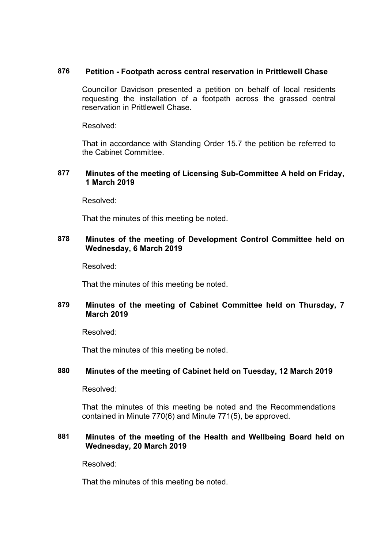### **876 Petition - Footpath across central reservation in Prittlewell Chase**

Councillor Davidson presented a petition on behalf of local residents requesting the installation of a footpath across the grassed central reservation in Prittlewell Chase.

Resolved:

That in accordance with Standing Order 15.7 the petition be referred to the Cabinet Committee.

## **877 Minutes of the meeting of Licensing Sub-Committee A held on Friday, 1 March 2019**

Resolved:

That the minutes of this meeting be noted.

## **878 Minutes of the meeting of Development Control Committee held on Wednesday, 6 March 2019**

Resolved:

That the minutes of this meeting be noted.

# **879 Minutes of the meeting of Cabinet Committee held on Thursday, 7 March 2019**

Resolved:

That the minutes of this meeting be noted.

## **880 Minutes of the meeting of Cabinet held on Tuesday, 12 March 2019**

Resolved:

That the minutes of this meeting be noted and the Recommendations contained in Minute 770(6) and Minute 771(5), be approved.

### **881 Minutes of the meeting of the Health and Wellbeing Board held on Wednesday, 20 March 2019**

Resolved:

That the minutes of this meeting be noted.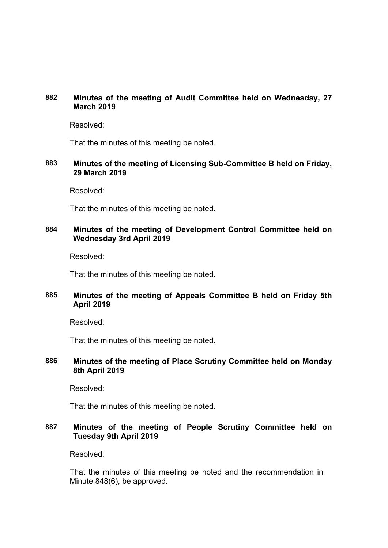# **882 Minutes of the meeting of Audit Committee held on Wednesday, 27 March 2019**

Resolved:

That the minutes of this meeting be noted.

## **883 Minutes of the meeting of Licensing Sub-Committee B held on Friday, 29 March 2019**

Resolved:

That the minutes of this meeting be noted.

# **884 Minutes of the meeting of Development Control Committee held on Wednesday 3rd April 2019**

Resolved:

That the minutes of this meeting be noted.

# **885 Minutes of the meeting of Appeals Committee B held on Friday 5th April 2019**

Resolved:

That the minutes of this meeting be noted.

## **886 Minutes of the meeting of Place Scrutiny Committee held on Monday 8th April 2019**

Resolved:

That the minutes of this meeting be noted.

# **887 Minutes of the meeting of People Scrutiny Committee held on Tuesday 9th April 2019**

Resolved:

That the minutes of this meeting be noted and the recommendation in Minute 848(6), be approved.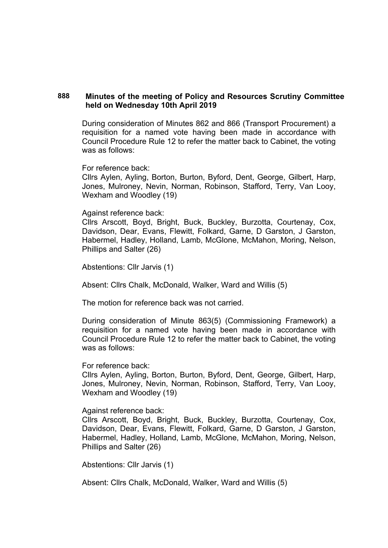### **888 Minutes of the meeting of Policy and Resources Scrutiny Committee held on Wednesday 10th April 2019**

During consideration of Minutes 862 and 866 (Transport Procurement) a requisition for a named vote having been made in accordance with Council Procedure Rule 12 to refer the matter back to Cabinet, the voting was as follows:

For reference back:

Cllrs Aylen, Ayling, Borton, Burton, Byford, Dent, George, Gilbert, Harp, Jones, Mulroney, Nevin, Norman, Robinson, Stafford, Terry, Van Looy, Wexham and Woodley (19)

Against reference back:

Cllrs Arscott, Boyd, Bright, Buck, Buckley, Burzotta, Courtenay, Cox, Davidson, Dear, Evans, Flewitt, Folkard, Garne, D Garston, J Garston, Habermel, Hadley, Holland, Lamb, McGlone, McMahon, Moring, Nelson, Phillips and Salter (26)

Abstentions: Cllr Jarvis (1)

Absent: Cllrs Chalk, McDonald, Walker, Ward and Willis (5)

The motion for reference back was not carried.

During consideration of Minute 863(5) (Commissioning Framework) a requisition for a named vote having been made in accordance with Council Procedure Rule 12 to refer the matter back to Cabinet, the voting was as follows:

For reference back:

Cllrs Aylen, Ayling, Borton, Burton, Byford, Dent, George, Gilbert, Harp, Jones, Mulroney, Nevin, Norman, Robinson, Stafford, Terry, Van Looy, Wexham and Woodley (19)

Against reference back:

Cllrs Arscott, Boyd, Bright, Buck, Buckley, Burzotta, Courtenay, Cox, Davidson, Dear, Evans, Flewitt, Folkard, Garne, D Garston, J Garston, Habermel, Hadley, Holland, Lamb, McGlone, McMahon, Moring, Nelson, Phillips and Salter (26)

Abstentions: Cllr Jarvis (1)

Absent: Cllrs Chalk, McDonald, Walker, Ward and Willis (5)